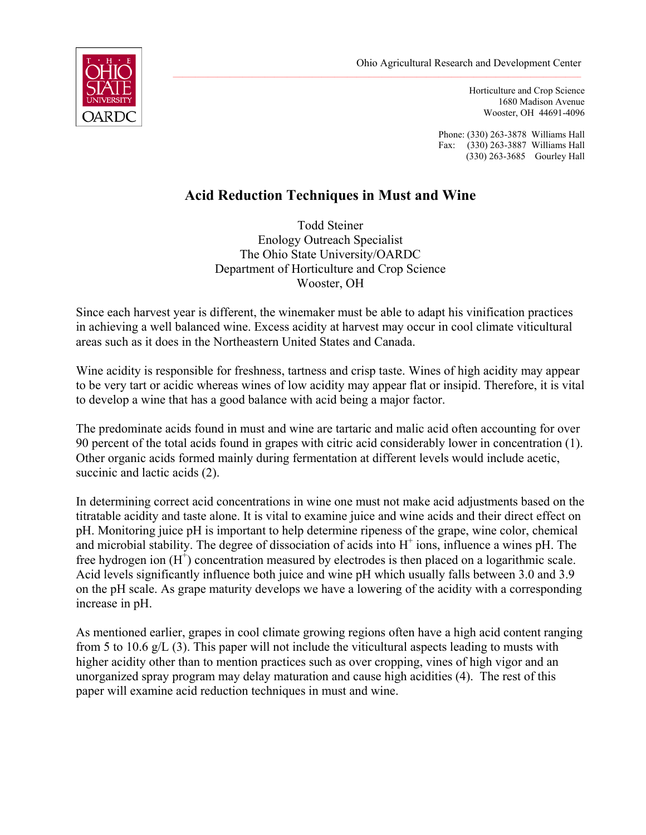

Horticulture and Crop Science 1680 Madison Avenue Wooster, OH 44691-4096

Phone: (330) 263-3878 Williams Hall Fax: (330) 263-3887 Williams Hall (330) 263-3685 Gourley Hall

# **Acid Reduction Techniques in Must and Wine**

Todd Steiner Enology Outreach Specialist The Ohio State University/OARDC Department of Horticulture and Crop Science Wooster, OH

Since each harvest year is different, the winemaker must be able to adapt his vinification practices in achieving a well balanced wine. Excess acidity at harvest may occur in cool climate viticultural areas such as it does in the Northeastern United States and Canada.

Wine acidity is responsible for freshness, tartness and crisp taste. Wines of high acidity may appear to be very tart or acidic whereas wines of low acidity may appear flat or insipid. Therefore, it is vital to develop a wine that has a good balance with acid being a major factor.

The predominate acids found in must and wine are tartaric and malic acid often accounting for over 90 percent of the total acids found in grapes with citric acid considerably lower in concentration (1). Other organic acids formed mainly during fermentation at different levels would include acetic, succinic and lactic acids (2).

In determining correct acid concentrations in wine one must not make acid adjustments based on the titratable acidity and taste alone. It is vital to examine juice and wine acids and their direct effect on pH. Monitoring juice pH is important to help determine ripeness of the grape, wine color, chemical and microbial stability. The degree of dissociation of acids into  $H^+$  ions, influence a wines pH. The free hydrogen ion  $(H^{\dagger})$  concentration measured by electrodes is then placed on a logarithmic scale. Acid levels significantly influence both juice and wine pH which usually falls between 3.0 and 3.9 on the pH scale. As grape maturity develops we have a lowering of the acidity with a corresponding increase in pH.

As mentioned earlier, grapes in cool climate growing regions often have a high acid content ranging from 5 to 10.6 g/L (3). This paper will not include the viticultural aspects leading to musts with higher acidity other than to mention practices such as over cropping, vines of high vigor and an unorganized spray program may delay maturation and cause high acidities (4). The rest of this paper will examine acid reduction techniques in must and wine.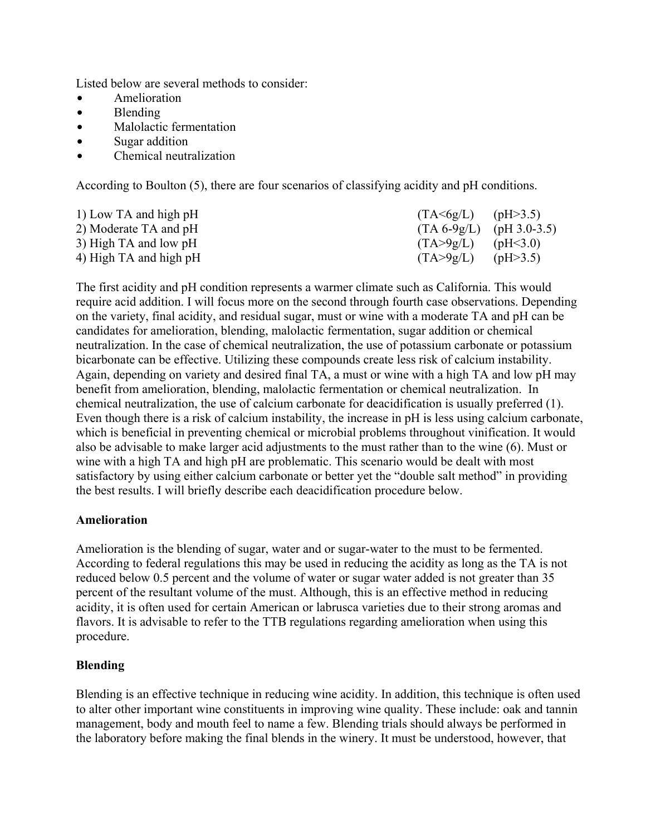Listed below are several methods to consider:

- Amelioration
- $\bullet$  Blending
- Malolactic fermentation
- $\bullet$  Sugar addition
- Chemical neutralization

According to Boulton (5), there are four scenarios of classifying acidity and pH conditions.

| 1) Low TA and high pH  | $(TA \leq 6g/L)$ (pH $>3.5$ ) |            |
|------------------------|-------------------------------|------------|
| 2) Moderate TA and pH  | $(TA 6-9g/L)$ (pH 3.0-3.5)    |            |
| 3) High TA and low pH  | $(TA > 9g/L)$ (pH<3.0)        |            |
| 4) High TA and high pH | (TA > 9g/L)                   | (pH > 3.5) |

The first acidity and pH condition represents a warmer climate such as California. This would require acid addition. I will focus more on the second through fourth case observations. Depending on the variety, final acidity, and residual sugar, must or wine with a moderate TA and pH can be candidates for amelioration, blending, malolactic fermentation, sugar addition or chemical neutralization. In the case of chemical neutralization, the use of potassium carbonate or potassium bicarbonate can be effective. Utilizing these compounds create less risk of calcium instability. Again, depending on variety and desired final TA, a must or wine with a high TA and low pH may benefit from amelioration, blending, malolactic fermentation or chemical neutralization. In chemical neutralization, the use of calcium carbonate for deacidification is usually preferred (1). Even though there is a risk of calcium instability, the increase in pH is less using calcium carbonate, which is beneficial in preventing chemical or microbial problems throughout vinification. It would also be advisable to make larger acid adjustments to the must rather than to the wine (6). Must or wine with a high TA and high pH are problematic. This scenario would be dealt with most satisfactory by using either calcium carbonate or better yet the "double salt method" in providing the best results. I will briefly describe each deacidification procedure below.

# **Amelioration**

Amelioration is the blending of sugar, water and or sugar-water to the must to be fermented. According to federal regulations this may be used in reducing the acidity as long as the TA is not reduced below 0.5 percent and the volume of water or sugar water added is not greater than 35 percent of the resultant volume of the must. Although, this is an effective method in reducing acidity, it is often used for certain American or labrusca varieties due to their strong aromas and flavors. It is advisable to refer to the TTB regulations regarding amelioration when using this procedure.

# **Blending**

Blending is an effective technique in reducing wine acidity. In addition, this technique is often used to alter other important wine constituents in improving wine quality. These include: oak and tannin management, body and mouth feel to name a few. Blending trials should always be performed in the laboratory before making the final blends in the winery. It must be understood, however, that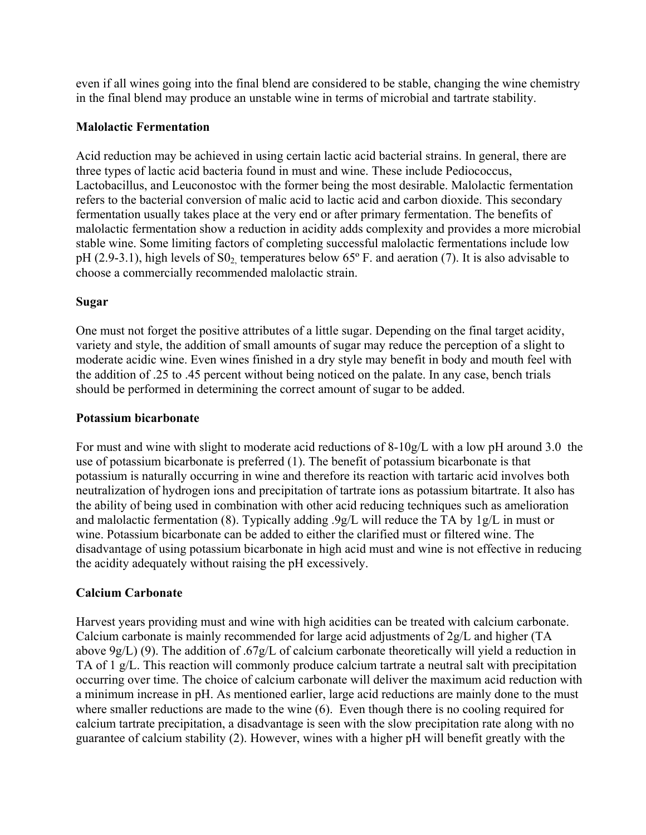even if all wines going into the final blend are considered to be stable, changing the wine chemistry in the final blend may produce an unstable wine in terms of microbial and tartrate stability.

## **Malolactic Fermentation**

Acid reduction may be achieved in using certain lactic acid bacterial strains. In general, there are three types of lactic acid bacteria found in must and wine. These include Pediococcus, Lactobacillus, and Leuconostoc with the former being the most desirable. Malolactic fermentation refers to the bacterial conversion of malic acid to lactic acid and carbon dioxide. This secondary fermentation usually takes place at the very end or after primary fermentation. The benefits of malolactic fermentation show a reduction in acidity adds complexity and provides a more microbial stable wine. Some limiting factors of completing successful malolactic fermentations include low pH (2.9-3.1), high levels of  $S_2$  temperatures below 65 $\degree$  F. and aeration (7). It is also advisable to choose a commercially recommended malolactic strain.

### **Sugar**

One must not forget the positive attributes of a little sugar. Depending on the final target acidity, variety and style, the addition of small amounts of sugar may reduce the perception of a slight to moderate acidic wine. Even wines finished in a dry style may benefit in body and mouth feel with the addition of .25 to .45 percent without being noticed on the palate. In any case, bench trials should be performed in determining the correct amount of sugar to be added.

#### **Potassium bicarbonate**

For must and wine with slight to moderate acid reductions of 8-10g/L with a low pH around 3.0 the use of potassium bicarbonate is preferred (1). The benefit of potassium bicarbonate is that potassium is naturally occurring in wine and therefore its reaction with tartaric acid involves both neutralization of hydrogen ions and precipitation of tartrate ions as potassium bitartrate. It also has the ability of being used in combination with other acid reducing techniques such as amelioration and malolactic fermentation (8). Typically adding .9g/L will reduce the TA by 1g/L in must or wine. Potassium bicarbonate can be added to either the clarified must or filtered wine. The disadvantage of using potassium bicarbonate in high acid must and wine is not effective in reducing the acidity adequately without raising the pH excessively.

# **Calcium Carbonate**

Harvest years providing must and wine with high acidities can be treated with calcium carbonate. Calcium carbonate is mainly recommended for large acid adjustments of 2g/L and higher (TA above 9g/L) (9). The addition of .67g/L of calcium carbonate theoretically will yield a reduction in TA of 1 g/L. This reaction will commonly produce calcium tartrate a neutral salt with precipitation occurring over time. The choice of calcium carbonate will deliver the maximum acid reduction with a minimum increase in pH. As mentioned earlier, large acid reductions are mainly done to the must where smaller reductions are made to the wine (6). Even though there is no cooling required for calcium tartrate precipitation, a disadvantage is seen with the slow precipitation rate along with no guarantee of calcium stability (2). However, wines with a higher pH will benefit greatly with the